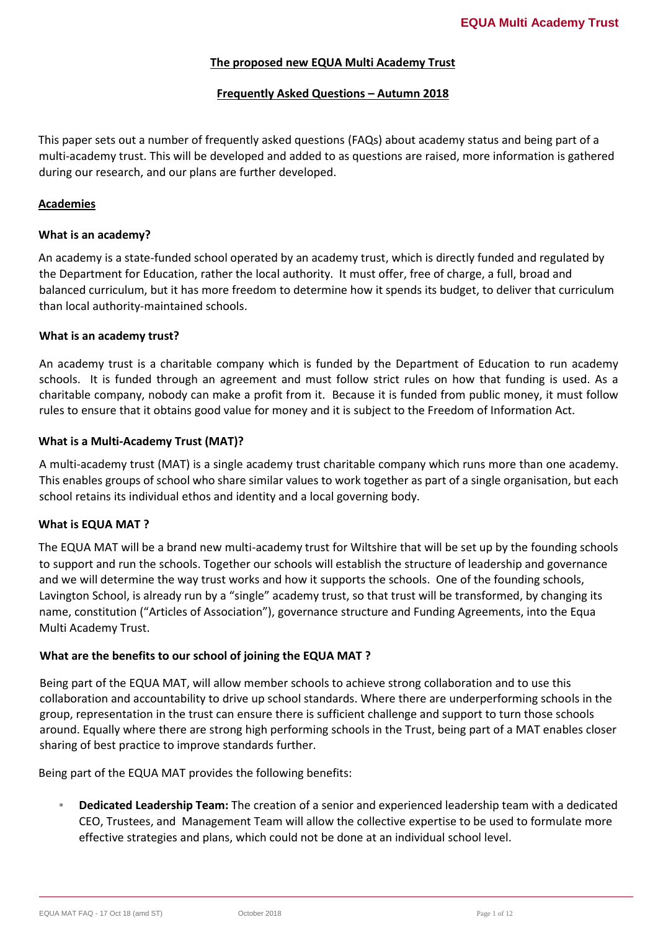#### **The proposed new EQUA Multi Academy Trust**

## **Frequently Asked Questions – Autumn 2018**

This paper sets out a number of frequently asked questions (FAQs) about academy status and being part of a multi-academy trust. This will be developed and added to as questions are raised, more information is gathered during our research, and our plans are further developed.

#### **Academies**

#### **What is an academy?**

An academy is a state-funded school operated by an academy trust, which is directly funded and regulated by the Department for Education, rather the local authority. It must offer, free of charge, a full, broad and balanced curriculum, but it has more freedom to determine how it spends its budget, to deliver that curriculum than local authority-maintained schools.

#### **What is an academy trust?**

An academy trust is a charitable company which is funded by the Department of Education to run academy schools. It is funded through an agreement and must follow strict rules on how that funding is used. As a charitable company, nobody can make a profit from it. Because it is funded from public money, it must follow rules to ensure that it obtains good value for money and it is subject to the Freedom of Information Act.

#### **What is a Multi-Academy Trust (MAT)?**

A multi-academy trust (MAT) is a single academy trust charitable company which runs more than one academy. This enables groups of school who share similar values to work together as part of a single organisation, but each school retains its individual ethos and identity and a local governing body.

## **What is EQUA MAT ?**

The EQUA MAT will be a brand new multi-academy trust for Wiltshire that will be set up by the founding schools to support and run the schools. Together our schools will establish the structure of leadership and governance and we will determine the way trust works and how it supports the schools. One of the founding schools, Lavington School, is already run by a "single" academy trust, so that trust will be transformed, by changing its name, constitution ("Articles of Association"), governance structure and Funding Agreements, into the Equa Multi Academy Trust.

## **What are the benefits to our school of joining the EQUA MAT ?**

Being part of the EQUA MAT, will allow member schools to achieve strong collaboration and to use this collaboration and accountability to drive up school standards. Where there are underperforming schools in the group, representation in the trust can ensure there is sufficient challenge and support to turn those schools around. Equally where there are strong high performing schools in the Trust, being part of a MAT enables closer sharing of best practice to improve standards further.

Being part of the EQUA MAT provides the following benefits:

**Dedicated Leadership Team:** The creation of a senior and experienced leadership team with a dedicated CEO, Trustees, and Management Team will allow the collective expertise to be used to formulate more effective strategies and plans, which could not be done at an individual school level.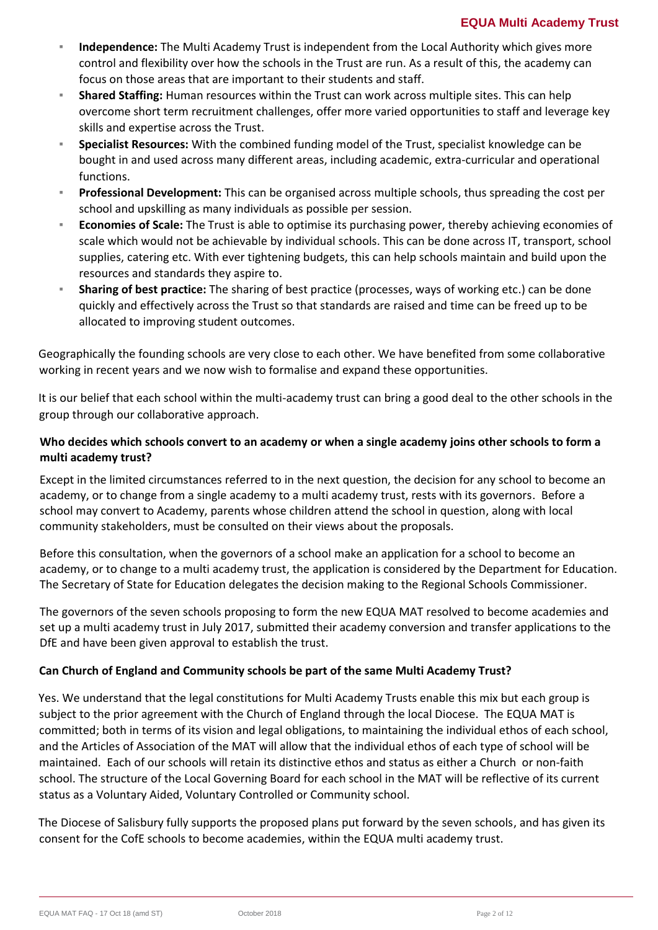- Independence: The Multi Academy Trust is independent from the Local Authority which gives more control and flexibility over how the schools in the Trust are run. As a result of this, the academy can focus on those areas that are important to their students and staff.
- **Shared Staffing:** Human resources within the Trust can work across multiple sites. This can help overcome short term recruitment challenges, offer more varied opportunities to staff and leverage key skills and expertise across the Trust.
- **Specialist Resources:** With the combined funding model of the Trust, specialist knowledge can be bought in and used across many different areas, including academic, extra-curricular and operational functions.
- **Professional Development:** This can be organised across multiple schools, thus spreading the cost per school and upskilling as many individuals as possible per session.
- **Economies of Scale:** The Trust is able to optimise its purchasing power, thereby achieving economies of scale which would not be achievable by individual schools. This can be done across IT, transport, school supplies, catering etc. With ever tightening budgets, this can help schools maintain and build upon the resources and standards they aspire to.
- **EXED Sharing of best practice:** The sharing of best practice (processes, ways of working etc.) can be done quickly and effectively across the Trust so that standards are raised and time can be freed up to be allocated to improving student outcomes.

Geographically the founding schools are very close to each other. We have benefited from some collaborative working in recent years and we now wish to formalise and expand these opportunities.

It is our belief that each school within the multi-academy trust can bring a good deal to the other schools in the group through our collaborative approach.

# **Who decides which schools convert to an academy or when a single academy joins other schools to form a multi academy trust?**

Except in the limited circumstances referred to in the next question, the decision for any school to become an academy, or to change from a single academy to a multi academy trust, rests with its governors. Before a school may convert to Academy, parents whose children attend the school in question, along with local community stakeholders, must be consulted on their views about the proposals.

Before this consultation, when the governors of a school make an application for a school to become an academy, or to change to a multi academy trust, the application is considered by the Department for Education. The Secretary of State for Education delegates the decision making to the Regional Schools Commissioner.

The governors of the seven schools proposing to form the new EQUA MAT resolved to become academies and set up a multi academy trust in July 2017, submitted their academy conversion and transfer applications to the DfE and have been given approval to establish the trust.

# **Can Church of England and Community schools be part of the same Multi Academy Trust?**

Yes. We understand that the legal constitutions for Multi Academy Trusts enable this mix but each group is subject to the prior agreement with the Church of England through the local Diocese. The EQUA MAT is committed; both in terms of its vision and legal obligations, to maintaining the individual ethos of each school, and the Articles of Association of the MAT will allow that the individual ethos of each type of school will be maintained. Each of our schools will retain its distinctive ethos and status as either a Church or non-faith school. The structure of the Local Governing Board for each school in the MAT will be reflective of its current status as a Voluntary Aided, Voluntary Controlled or Community school.

The Diocese of Salisbury fully supports the proposed plans put forward by the seven schools, and has given its consent for the CofE schools to become academies, within the EQUA multi academy trust.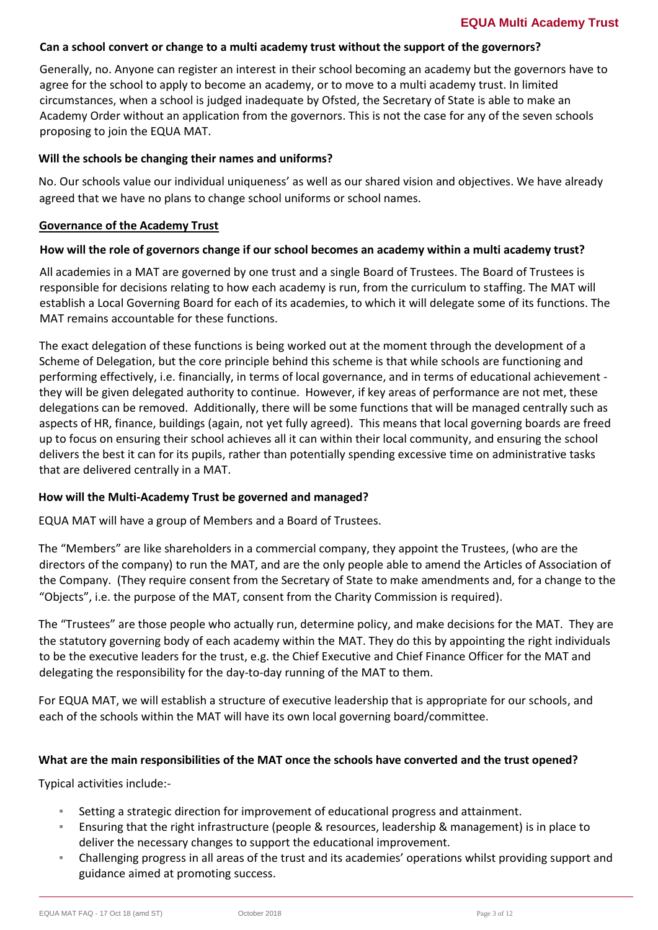## **EQUA Multi Academy Trust**

#### **Can a school convert or change to a multi academy trust without the support of the governors?**

Generally, no. Anyone can register an interest in their school becoming an academy but the governors have to agree for the school to apply to become an academy, or to move to a multi academy trust. In limited circumstances, when a school is judged inadequate by Ofsted, the Secretary of State is able to make an Academy Order without an application from the governors. This is not the case for any of the seven schools proposing to join the EQUA MAT.

#### **Will the schools be changing their names and uniforms?**

No. Our schools value our individual uniqueness' as well as our shared vision and objectives. We have already agreed that we have no plans to change school uniforms or school names.

#### **Governance of the Academy Trust**

#### **How will the role of governors change if our school becomes an academy within a multi academy trust?**

All academies in a MAT are governed by one trust and a single Board of Trustees. The Board of Trustees is responsible for decisions relating to how each academy is run, from the curriculum to staffing. The MAT will establish a Local Governing Board for each of its academies, to which it will delegate some of its functions. The MAT remains accountable for these functions.

The exact delegation of these functions is being worked out at the moment through the development of a Scheme of Delegation, but the core principle behind this scheme is that while schools are functioning and performing effectively, i.e. financially, in terms of local governance, and in terms of educational achievement they will be given delegated authority to continue. However, if key areas of performance are not met, these delegations can be removed. Additionally, there will be some functions that will be managed centrally such as aspects of HR, finance, buildings (again, not yet fully agreed). This means that local governing boards are freed up to focus on ensuring their school achieves all it can within their local community, and ensuring the school delivers the best it can for its pupils, rather than potentially spending excessive time on administrative tasks that are delivered centrally in a MAT.

#### **How will the Multi-Academy Trust be governed and managed?**

EQUA MAT will have a group of Members and a Board of Trustees.

The "Members" are like shareholders in a commercial company, they appoint the Trustees, (who are the directors of the company) to run the MAT, and are the only people able to amend the Articles of Association of the Company. (They require consent from the Secretary of State to make amendments and, for a change to the "Objects", i.e. the purpose of the MAT, consent from the Charity Commission is required).

The "Trustees" are those people who actually run, determine policy, and make decisions for the MAT. They are the statutory governing body of each academy within the MAT. They do this by appointing the right individuals to be the executive leaders for the trust, e.g. the Chief Executive and Chief Finance Officer for the MAT and delegating the responsibility for the day-to-day running of the MAT to them.

For EQUA MAT, we will establish a structure of executive leadership that is appropriate for our schools, and each of the schools within the MAT will have its own local governing board/committee.

#### **What are the main responsibilities of the MAT once the schools have converted and the trust opened?**

Typical activities include:-

- Setting a strategic direction for improvement of educational progress and attainment.
- Ensuring that the right infrastructure (people & resources, leadership & management) is in place to deliver the necessary changes to support the educational improvement.
- Challenging progress in all areas of the trust and its academies' operations whilst providing support and guidance aimed at promoting success.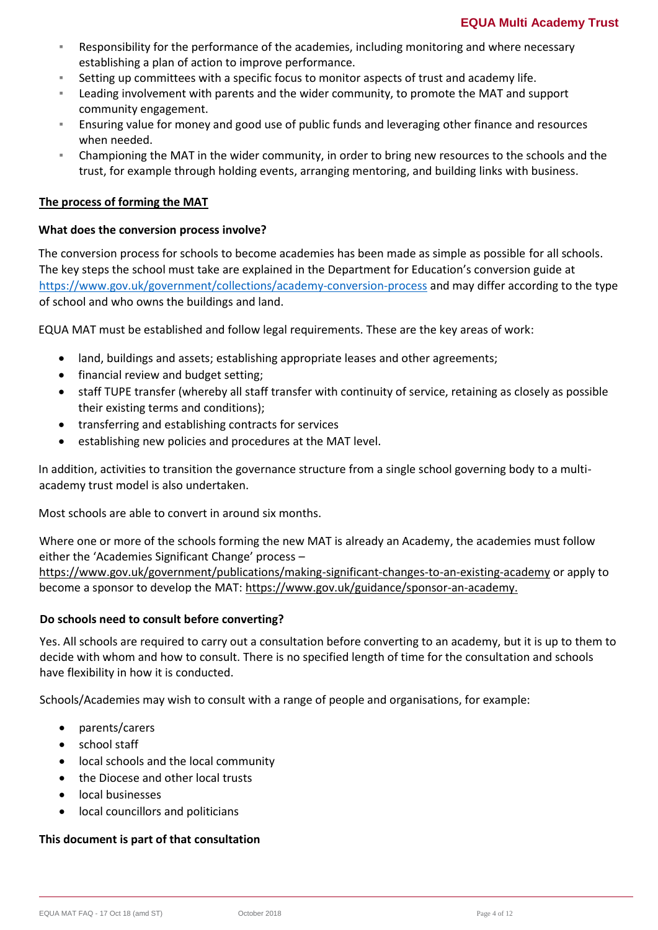- Responsibility for the performance of the academies, including monitoring and where necessary establishing a plan of action to improve performance.
- Setting up committees with a specific focus to monitor aspects of trust and academy life.
- Leading involvement with parents and the wider community, to promote the MAT and support community engagement.
- **E** Ensuring value for money and good use of public funds and leveraging other finance and resources when needed.
- Championing the MAT in the wider community, in order to bring new resources to the schools and the trust, for example through holding events, arranging mentoring, and building links with business.

#### **The process of forming the MAT**

#### **What does the conversion process involve?**

The conversion process for schools to become academies has been made as simple as possible for all schools. The key steps the school must take are explained in the Department for Education's conversion guide at <https://www.gov.uk/government/collections/academy-conversion-process> and may differ according to the type of school and who owns the buildings and land.

EQUA MAT must be established and follow legal requirements. These are the key areas of work:

- land, buildings and assets; establishing appropriate leases and other agreements;
- financial review and budget setting;
- staff TUPE transfer (whereby all staff transfer with continuity of service, retaining as closely as possible their existing terms and conditions);
- transferring and establishing contracts for services
- establishing new policies and procedures at the MAT level.

In addition, activities to transition the governance structure from a single school governing body to a multiacademy trust model is also undertaken.

Most schools are able to convert in around six months.

Where one or more of the schools forming the new MAT is already an Academy, the academies must follow either the 'Academies Significant Change' process –

<https://www.gov.uk/government/publications/making-significant-changes-to-an-existing-academy> or apply to become a sponsor to develop the MAT: [https://www.gov.uk/guidance/sponsor-an-academy.](https://www.gov.uk/guidance/sponsor-an-academy)

#### **Do schools need to consult before converting?**

Yes. All schools are required to carry out a consultation before converting to an academy, but it is up to them to decide with whom and how to consult. There is no specified length of time for the consultation and schools have flexibility in how it is conducted.

Schools/Academies may wish to consult with a range of people and organisations, for example:

- parents/carers
- school staff
- local schools and the local community
- the Diocese and other local trusts
- local businesses
- local councillors and politicians

#### **This document is part of that consultation**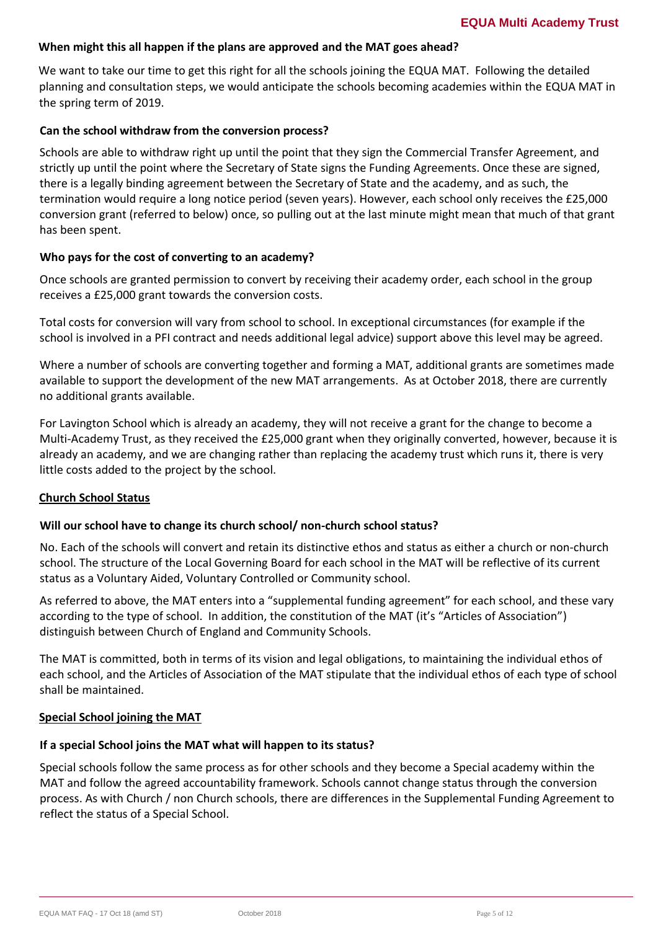#### **When might this all happen if the plans are approved and the MAT goes ahead?**

We want to take our time to get this right for all the schools joining the EQUA MAT. Following the detailed planning and consultation steps, we would anticipate the schools becoming academies within the EQUA MAT in the spring term of 2019.

#### **Can the school withdraw from the conversion process?**

Schools are able to withdraw right up until the point that they sign the Commercial Transfer Agreement, and strictly up until the point where the Secretary of State signs the Funding Agreements. Once these are signed, there is a legally binding agreement between the Secretary of State and the academy, and as such, the termination would require a long notice period (seven years). However, each school only receives the £25,000 conversion grant (referred to below) once, so pulling out at the last minute might mean that much of that grant has been spent.

#### **Who pays for the cost of converting to an academy?**

Once schools are granted permission to convert by receiving their academy order, each school in the group receives a £25,000 grant towards the conversion costs.

Total costs for conversion will vary from school to school. In exceptional circumstances (for example if the school is involved in a PFI contract and needs additional legal advice) support above this level may be agreed.

Where a number of schools are converting together and forming a MAT, additional grants are sometimes made available to support the development of the new MAT arrangements. As at October 2018, there are currently no additional grants available.

For Lavington School which is already an academy, they will not receive a grant for the change to become a Multi-Academy Trust, as they received the £25,000 grant when they originally converted, however, because it is already an academy, and we are changing rather than replacing the academy trust which runs it, there is very little costs added to the project by the school.

#### **Church School Status**

#### **Will our school have to change its church school/ non-church school status?**

No. Each of the schools will convert and retain its distinctive ethos and status as either a church or non-church school. The structure of the Local Governing Board for each school in the MAT will be reflective of its current status as a Voluntary Aided, Voluntary Controlled or Community school.

As referred to above, the MAT enters into a "supplemental funding agreement" for each school, and these vary according to the type of school. In addition, the constitution of the MAT (it's "Articles of Association") distinguish between Church of England and Community Schools.

The MAT is committed, both in terms of its vision and legal obligations, to maintaining the individual ethos of each school, and the Articles of Association of the MAT stipulate that the individual ethos of each type of school shall be maintained.

#### **Special School joining the MAT**

## **If a special School joins the MAT what will happen to its status?**

Special schools follow the same process as for other schools and they become a Special academy within the MAT and follow the agreed accountability framework. Schools cannot change status through the conversion process. As with Church / non Church schools, there are differences in the Supplemental Funding Agreement to reflect the status of a Special School.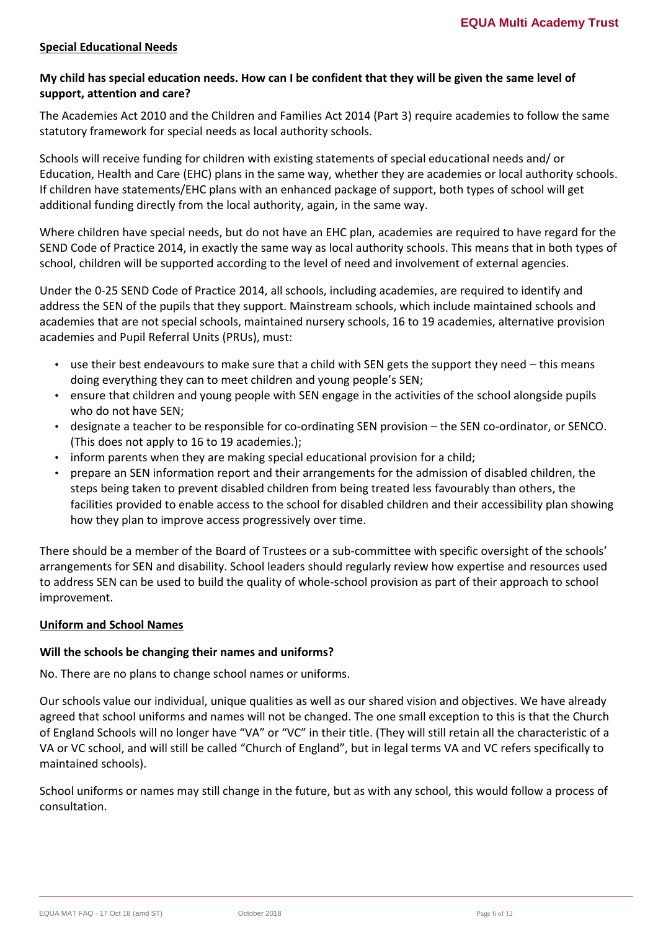## **Special Educational Needs**

# **My child has special education needs. How can I be confident that they will be given the same level of support, attention and care?**

The Academies Act 2010 and the Children and Families Act 2014 (Part 3) require academies to follow the same statutory framework for special needs as local authority schools.

Schools will receive funding for children with existing statements of special educational needs and/ or Education, Health and Care (EHC) plans in the same way, whether they are academies or local authority schools. If children have statements/EHC plans with an enhanced package of support, both types of school will get additional funding directly from the local authority, again, in the same way.

Where children have special needs, but do not have an EHC plan, academies are required to have regard for the SEND Code of Practice 2014, in exactly the same way as local authority schools. This means that in both types of school, children will be supported according to the level of need and involvement of external agencies.

Under the 0-25 SEND Code of Practice 2014, all schools, including academies, are required to identify and address the SEN of the pupils that they support. Mainstream schools, which include maintained schools and academies that are not special schools, maintained nursery schools, 16 to 19 academies, alternative provision academies and Pupil Referral Units (PRUs), must:

- use their best endeavours to make sure that a child with SEN gets the support they need this means doing everything they can to meet children and young people's SEN;
- ensure that children and young people with SEN engage in the activities of the school alongside pupils who do not have SEN;
- designate a teacher to be responsible for co-ordinating SEN provision the SEN co-ordinator, or SENCO. (This does not apply to 16 to 19 academies.);
- inform parents when they are making special educational provision for a child;
- prepare an SEN information report and their arrangements for the admission of disabled children, the steps being taken to prevent disabled children from being treated less favourably than others, the facilities provided to enable access to the school for disabled children and their accessibility plan showing how they plan to improve access progressively over time.

There should be a member of the Board of Trustees or a sub-committee with specific oversight of the schools' arrangements for SEN and disability. School leaders should regularly review how expertise and resources used to address SEN can be used to build the quality of whole-school provision as part of their approach to school improvement.

## **Uniform and School Names**

## **Will the schools be changing their names and uniforms?**

No. There are no plans to change school names or uniforms.

Our schools value our individual, unique qualities as well as our shared vision and objectives. We have already agreed that school uniforms and names will not be changed. The one small exception to this is that the Church of England Schools will no longer have "VA" or "VC" in their title. (They will still retain all the characteristic of a VA or VC school, and will still be called "Church of England", but in legal terms VA and VC refers specifically to maintained schools).

School uniforms or names may still change in the future, but as with any school, this would follow a process of consultation.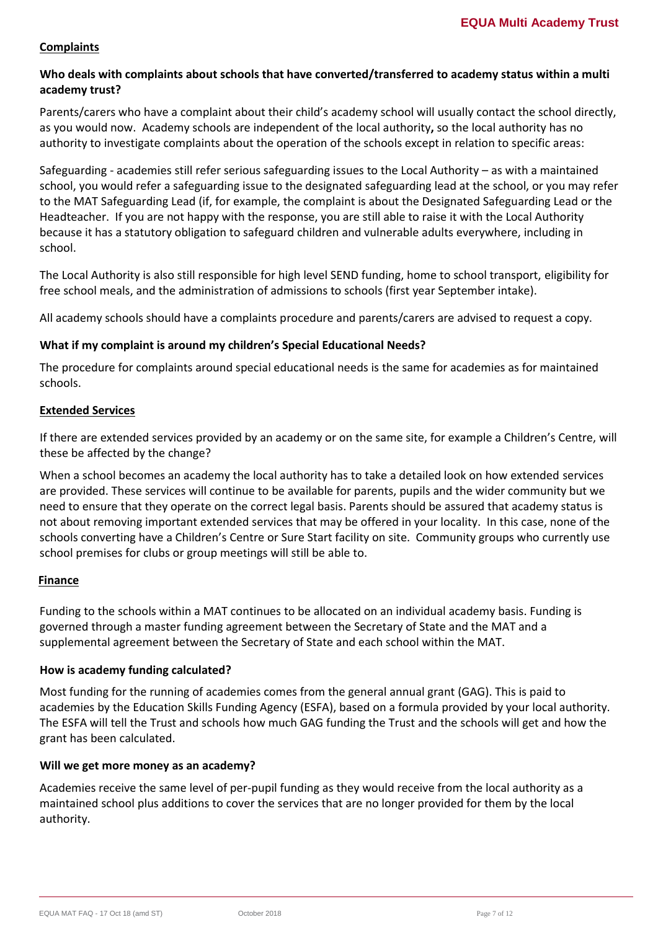## **Complaints**

## **Who deals with complaints about schools that have converted/transferred to academy status within a multi academy trust?**

Parents/carers who have a complaint about their child's academy school will usually contact the school directly, as you would now. Academy schools are independent of the local authority**,** so the local authority has no authority to investigate complaints about the operation of the schools except in relation to specific areas:

Safeguarding - academies still refer serious safeguarding issues to the Local Authority – as with a maintained school, you would refer a safeguarding issue to the designated safeguarding lead at the school, or you may refer to the MAT Safeguarding Lead (if, for example, the complaint is about the Designated Safeguarding Lead or the Headteacher. If you are not happy with the response, you are still able to raise it with the Local Authority because it has a statutory obligation to safeguard children and vulnerable adults everywhere, including in school.

The Local Authority is also still responsible for high level SEND funding, home to school transport, eligibility for free school meals, and the administration of admissions to schools (first year September intake).

All academy schools should have a complaints procedure and parents/carers are advised to request a copy.

#### **What if my complaint is around my children's Special Educational Needs?**

The procedure for complaints around special educational needs is the same for academies as for maintained schools.

#### **Extended Services**

If there are extended services provided by an academy or on the same site, for example a Children's Centre, will these be affected by the change?

When a school becomes an academy the local authority has to take a detailed look on how extended services are provided. These services will continue to be available for parents, pupils and the wider community but we need to ensure that they operate on the correct legal basis. Parents should be assured that academy status is not about removing important extended services that may be offered in your locality. In this case, none of the schools converting have a Children's Centre or Sure Start facility on site. Community groups who currently use school premises for clubs or group meetings will still be able to.

## **Finance**

Funding to the schools within a MAT continues to be allocated on an individual academy basis. Funding is governed through a master funding agreement between the Secretary of State and the MAT and a supplemental agreement between the Secretary of State and each school within the MAT.

## **How is academy funding calculated?**

Most funding for the running of academies comes from the general annual grant (GAG). This is paid to academies by the Education Skills Funding Agency (ESFA), based on a formula provided by your local authority. The ESFA will tell the Trust and schools how much GAG funding the Trust and the schools will get and how the grant has been calculated.

## **Will we get more money as an academy?**

Academies receive the same level of per-pupil funding as they would receive from the local authority as a maintained school plus additions to cover the services that are no longer provided for them by the local authority.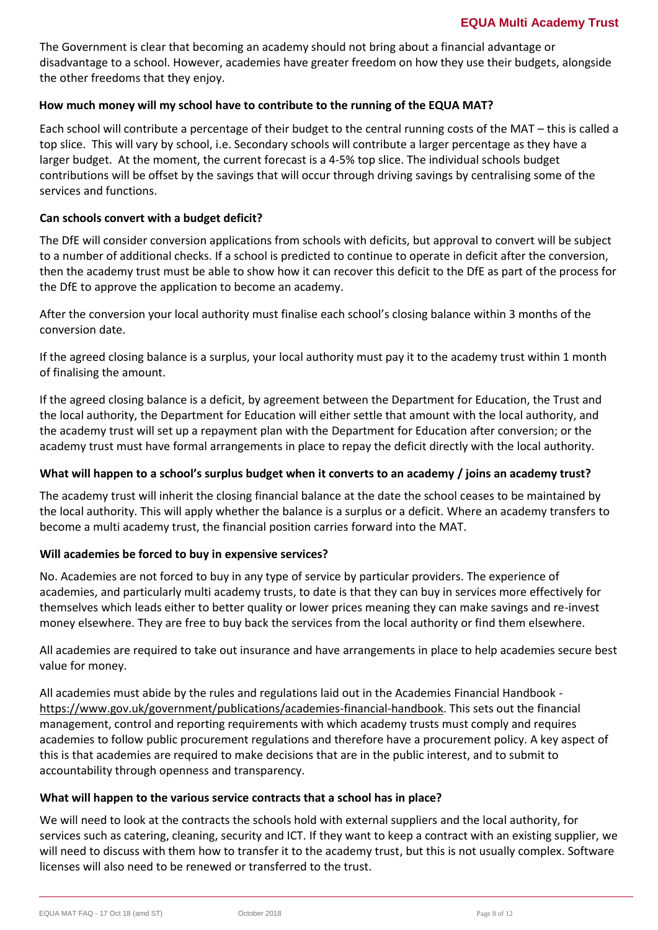The Government is clear that becoming an academy should not bring about a financial advantage or disadvantage to a school. However, academies have greater freedom on how they use their budgets, alongside the other freedoms that they enjoy.

## **How much money will my school have to contribute to the running of the EQUA MAT?**

Each school will contribute a percentage of their budget to the central running costs of the MAT – this is called a top slice. This will vary by school, i.e. Secondary schools will contribute a larger percentage as they have a larger budget. At the moment, the current forecast is a 4-5% top slice. The individual schools budget contributions will be offset by the savings that will occur through driving savings by centralising some of the services and functions.

## **Can schools convert with a budget deficit?**

The DfE will consider conversion applications from schools with deficits, but approval to convert will be subject to a number of additional checks. If a school is predicted to continue to operate in deficit after the conversion, then the academy trust must be able to show how it can recover this deficit to the DfE as part of the process for the DfE to approve the application to become an academy.

After the conversion your local authority must finalise each school's closing balance within 3 months of the conversion date.

If the agreed closing balance is a surplus, your local authority must pay it to the academy trust within 1 month of finalising the amount.

If the agreed closing balance is a deficit, by agreement between the Department for Education, the Trust and the local authority, the Department for Education will either settle that amount with the local authority, and the academy trust will set up a repayment plan with the Department for Education after conversion; or the academy trust must have formal arrangements in place to repay the deficit directly with the local authority.

## **What will happen to a school's surplus budget when it converts to an academy / joins an academy trust?**

The academy trust will inherit the closing financial balance at the date the school ceases to be maintained by the local authority. This will apply whether the balance is a surplus or a deficit. Where an academy transfers to become a multi academy trust, the financial position carries forward into the MAT.

## **Will academies be forced to buy in expensive services?**

No. Academies are not forced to buy in any type of service by particular providers. The experience of academies, and particularly multi academy trusts, to date is that they can buy in services more effectively for themselves which leads either to better quality or lower prices meaning they can make savings and re-invest money elsewhere. They are free to buy back the services from the local authority or find them elsewhere.

All academies are required to take out insurance and have arrangements in place to help academies secure best value for money.

All academies must abide by the rules and regulations laid out in the Academies Financial Handbook [https://www.gov.uk/government/publications/academies-financial-handbook.](https://www.gov.uk/government/publications/academies-financial-handbook) This sets out the financial management, control and reporting requirements with which academy trusts must comply and requires academies to follow public procurement regulations and therefore have a procurement policy. A key aspect of this is that academies are required to make decisions that are in the public interest, and to submit to accountability through openness and transparency.

## **What will happen to the various service contracts that a school has in place?**

We will need to look at the contracts the schools hold with external suppliers and the local authority, for services such as catering, cleaning, security and ICT. If they want to keep a contract with an existing supplier, we will need to discuss with them how to transfer it to the academy trust, but this is not usually complex. Software licenses will also need to be renewed or transferred to the trust.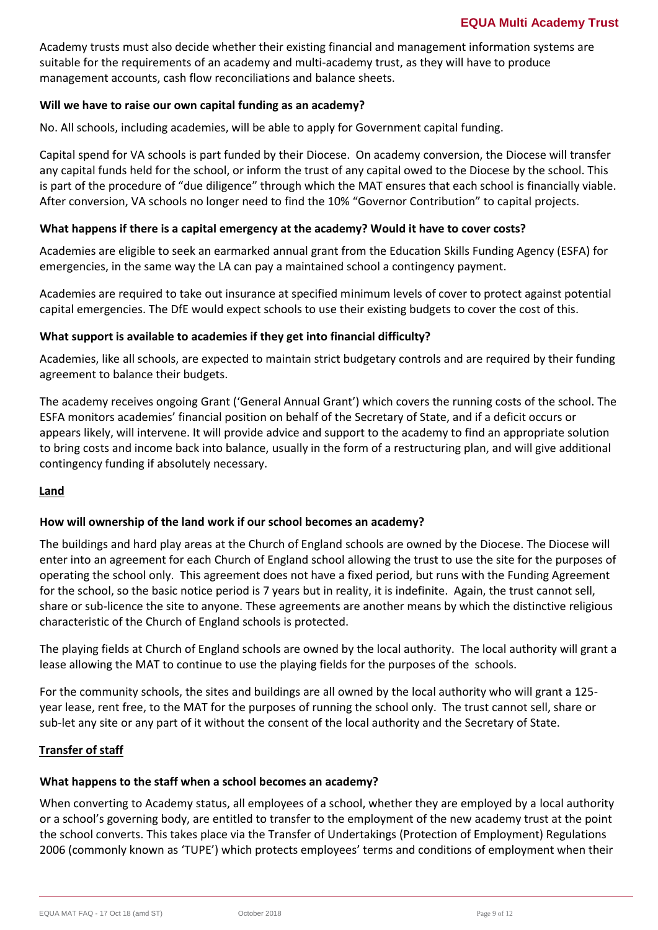Academy trusts must also decide whether their existing financial and management information systems are suitable for the requirements of an academy and multi-academy trust, as they will have to produce management accounts, cash flow reconciliations and balance sheets.

## **Will we have to raise our own capital funding as an academy?**

No. All schools, including academies, will be able to apply for Government capital funding.

Capital spend for VA schools is part funded by their Diocese. On academy conversion, the Diocese will transfer any capital funds held for the school, or inform the trust of any capital owed to the Diocese by the school. This is part of the procedure of "due diligence" through which the MAT ensures that each school is financially viable. After conversion, VA schools no longer need to find the 10% "Governor Contribution" to capital projects.

#### **What happens if there is a capital emergency at the academy? Would it have to cover costs?**

Academies are eligible to seek an earmarked annual grant from the Education Skills Funding Agency (ESFA) for emergencies, in the same way the LA can pay a maintained school a contingency payment.

Academies are required to take out insurance at specified minimum levels of cover to protect against potential capital emergencies. The DfE would expect schools to use their existing budgets to cover the cost of this.

#### **What support is available to academies if they get into financial difficulty?**

Academies, like all schools, are expected to maintain strict budgetary controls and are required by their funding agreement to balance their budgets.

The academy receives ongoing Grant ('General Annual Grant') which covers the running costs of the school. The ESFA monitors academies' financial position on behalf of the Secretary of State, and if a deficit occurs or appears likely, will intervene. It will provide advice and support to the academy to find an appropriate solution to bring costs and income back into balance, usually in the form of a restructuring plan, and will give additional contingency funding if absolutely necessary.

#### **Land**

## **How will ownership of the land work if our school becomes an academy?**

The buildings and hard play areas at the Church of England schools are owned by the Diocese. The Diocese will enter into an agreement for each Church of England school allowing the trust to use the site for the purposes of operating the school only. This agreement does not have a fixed period, but runs with the Funding Agreement for the school, so the basic notice period is 7 years but in reality, it is indefinite. Again, the trust cannot sell, share or sub-licence the site to anyone. These agreements are another means by which the distinctive religious characteristic of the Church of England schools is protected.

The playing fields at Church of England schools are owned by the local authority. The local authority will grant a lease allowing the MAT to continue to use the playing fields for the purposes of the schools.

For the community schools, the sites and buildings are all owned by the local authority who will grant a 125 year lease, rent free, to the MAT for the purposes of running the school only. The trust cannot sell, share or sub-let any site or any part of it without the consent of the local authority and the Secretary of State.

#### **Transfer of staff**

# **What happens to the staff when a school becomes an academy?**

When converting to Academy status, all employees of a school, whether they are employed by a local authority or a school's governing body, are entitled to transfer to the employment of the new academy trust at the point the school converts. This takes place via the Transfer of Undertakings (Protection of Employment) Regulations 2006 (commonly known as 'TUPE') which protects employees' terms and conditions of employment when their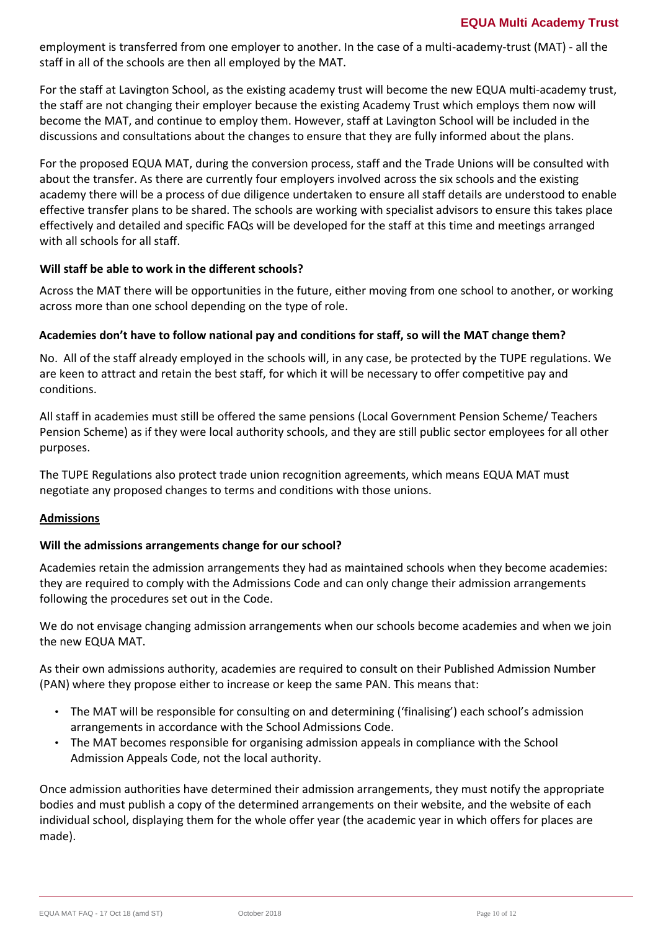employment is transferred from one employer to another. In the case of a multi-academy-trust (MAT) - all the staff in all of the schools are then all employed by the MAT.

For the staff at Lavington School, as the existing academy trust will become the new EQUA multi-academy trust, the staff are not changing their employer because the existing Academy Trust which employs them now will become the MAT, and continue to employ them. However, staff at Lavington School will be included in the discussions and consultations about the changes to ensure that they are fully informed about the plans.

For the proposed EQUA MAT, during the conversion process, staff and the Trade Unions will be consulted with about the transfer. As there are currently four employers involved across the six schools and the existing academy there will be a process of due diligence undertaken to ensure all staff details are understood to enable effective transfer plans to be shared. The schools are working with specialist advisors to ensure this takes place effectively and detailed and specific FAQs will be developed for the staff at this time and meetings arranged with all schools for all staff.

# **Will staff be able to work in the different schools?**

Across the MAT there will be opportunities in the future, either moving from one school to another, or working across more than one school depending on the type of role.

# **Academies don't have to follow national pay and conditions for staff, so will the MAT change them?**

No. All of the staff already employed in the schools will, in any case, be protected by the TUPE regulations. We are keen to attract and retain the best staff, for which it will be necessary to offer competitive pay and conditions.

All staff in academies must still be offered the same pensions (Local Government Pension Scheme/ Teachers Pension Scheme) as if they were local authority schools, and they are still public sector employees for all other purposes.

The TUPE Regulations also protect trade union recognition agreements, which means EQUA MAT must negotiate any proposed changes to terms and conditions with those unions.

## **Admissions**

## **Will the admissions arrangements change for our school?**

Academies retain the admission arrangements they had as maintained schools when they become academies: they are required to comply with the Admissions Code and can only change their admission arrangements following the procedures set out in the Code.

We do not envisage changing admission arrangements when our schools become academies and when we join the new EQUA MAT.

As their own admissions authority, academies are required to consult on their Published Admission Number (PAN) where they propose either to increase or keep the same PAN. This means that:

- The MAT will be responsible for consulting on and determining ('finalising') each school's admission arrangements in accordance with the School Admissions Code.
- The MAT becomes responsible for organising admission appeals in compliance with the School Admission Appeals Code, not the local authority.

Once admission authorities have determined their admission arrangements, they must notify the appropriate bodies and must publish a copy of the determined arrangements on their website, and the website of each individual school, displaying them for the whole offer year (the academic year in which offers for places are made).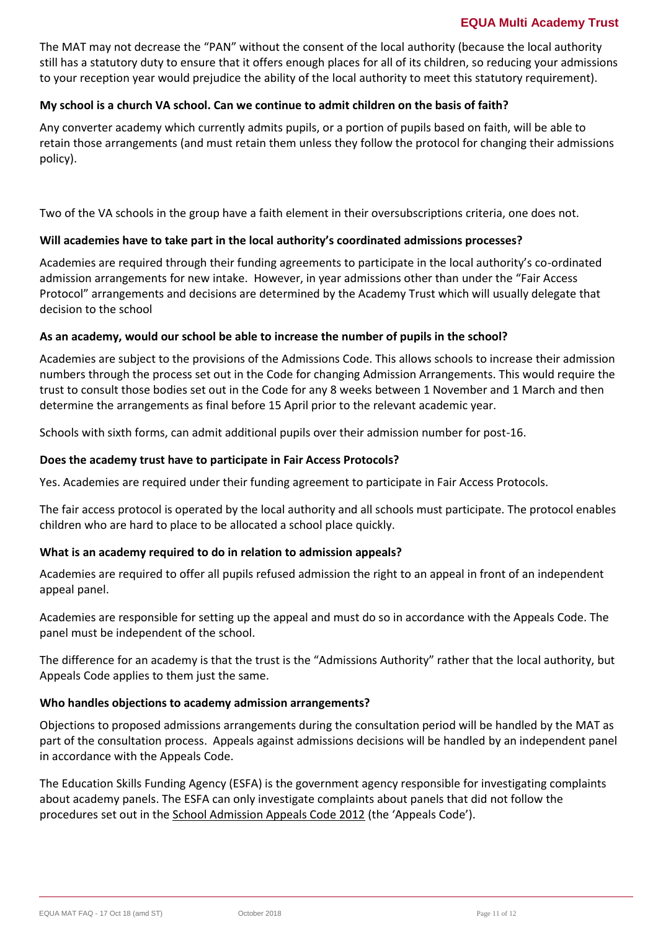## **EQUA Multi Academy Trust**

The MAT may not decrease the "PAN" without the consent of the local authority (because the local authority still has a statutory duty to ensure that it offers enough places for all of its children, so reducing your admissions to your reception year would prejudice the ability of the local authority to meet this statutory requirement).

## **My school is a church VA school. Can we continue to admit children on the basis of faith?**

Any converter academy which currently admits pupils, or a portion of pupils based on faith, will be able to retain those arrangements (and must retain them unless they follow the protocol for changing their admissions policy).

Two of the VA schools in the group have a faith element in their oversubscriptions criteria, one does not.

# **Will academies have to take part in the local authority's coordinated admissions processes?**

Academies are required through their funding agreements to participate in the local authority's co-ordinated admission arrangements for new intake. However, in year admissions other than under the "Fair Access Protocol" arrangements and decisions are determined by the Academy Trust which will usually delegate that decision to the school

## **As an academy, would our school be able to increase the number of pupils in the school?**

Academies are subject to the provisions of the Admissions Code. This allows schools to increase their admission numbers through the process set out in the Code for changing Admission Arrangements. This would require the trust to consult those bodies set out in the Code for any 8 weeks between 1 November and 1 March and then determine the arrangements as final before 15 April prior to the relevant academic year.

Schools with sixth forms, can admit additional pupils over their admission number for post-16.

## **Does the academy trust have to participate in Fair Access Protocols?**

Yes. Academies are required under their funding agreement to participate in Fair Access Protocols.

The fair access protocol is operated by the local authority and all schools must participate. The protocol enables children who are hard to place to be allocated a school place quickly.

## **What is an academy required to do in relation to admission appeals?**

Academies are required to offer all pupils refused admission the right to an appeal in front of an independent appeal panel.

Academies are responsible for setting up the appeal and must do so in accordance with the Appeals Code. The panel must be independent of the school.

The difference for an academy is that the trust is the "Admissions Authority" rather that the local authority, but Appeals Code applies to them just the same.

## **Who handles objections to academy admission arrangements?**

Objections to proposed admissions arrangements during the consultation period will be handled by the MAT as part of the consultation process. Appeals against admissions decisions will be handled by an independent panel in accordance with the Appeals Code.

The Education Skills Funding Agency (ESFA) is the government agency responsible for investigating complaints about academy panels. The ESFA can only investigate complaints about panels that did not follow the procedures set out in the [School Admission Appeals Code 2012](https://www.gov.uk/government/publications/school-admissions-appeals-code) (the 'Appeals Code').